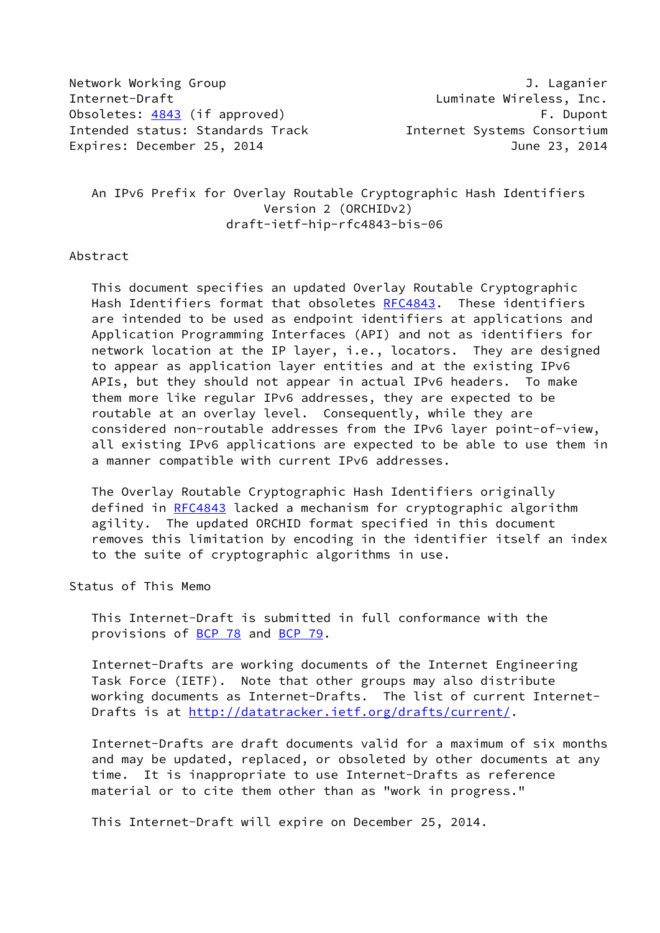Network Working Group **J. Laganier** Internet-Draft **Luminate Wireless**, Inc. Obsoletes: [4843](https://datatracker.ietf.org/doc/pdf/rfc4843) (if approved) example the control of the property of the control of the control of the control of the control of the control of the control of the control of the control of the control of the control of the Intended status: Standards Track Internet Systems Consortium Expires: December 25, 2014 June 23, 2014

 An IPv6 Prefix for Overlay Routable Cryptographic Hash Identifiers Version 2 (ORCHIDv2) draft-ietf-hip-rfc4843-bis-06

### Abstract

 This document specifies an updated Overlay Routable Cryptographic Hash Identifiers format that obsoletes [RFC4843](https://datatracker.ietf.org/doc/pdf/rfc4843). These identifiers are intended to be used as endpoint identifiers at applications and Application Programming Interfaces (API) and not as identifiers for network location at the IP layer, i.e., locators. They are designed to appear as application layer entities and at the existing IPv6 APIs, but they should not appear in actual IPv6 headers. To make them more like regular IPv6 addresses, they are expected to be routable at an overlay level. Consequently, while they are considered non-routable addresses from the IPv6 layer point-of-view, all existing IPv6 applications are expected to be able to use them in a manner compatible with current IPv6 addresses.

 The Overlay Routable Cryptographic Hash Identifiers originally defined in [RFC4843](https://datatracker.ietf.org/doc/pdf/rfc4843) lacked a mechanism for cryptographic algorithm agility. The updated ORCHID format specified in this document removes this limitation by encoding in the identifier itself an index to the suite of cryptographic algorithms in use.

Status of This Memo

 This Internet-Draft is submitted in full conformance with the provisions of [BCP 78](https://datatracker.ietf.org/doc/pdf/bcp78) and [BCP 79](https://datatracker.ietf.org/doc/pdf/bcp79).

 Internet-Drafts are working documents of the Internet Engineering Task Force (IETF). Note that other groups may also distribute working documents as Internet-Drafts. The list of current Internet- Drafts is at<http://datatracker.ietf.org/drafts/current/>.

 Internet-Drafts are draft documents valid for a maximum of six months and may be updated, replaced, or obsoleted by other documents at any time. It is inappropriate to use Internet-Drafts as reference material or to cite them other than as "work in progress."

This Internet-Draft will expire on December 25, 2014.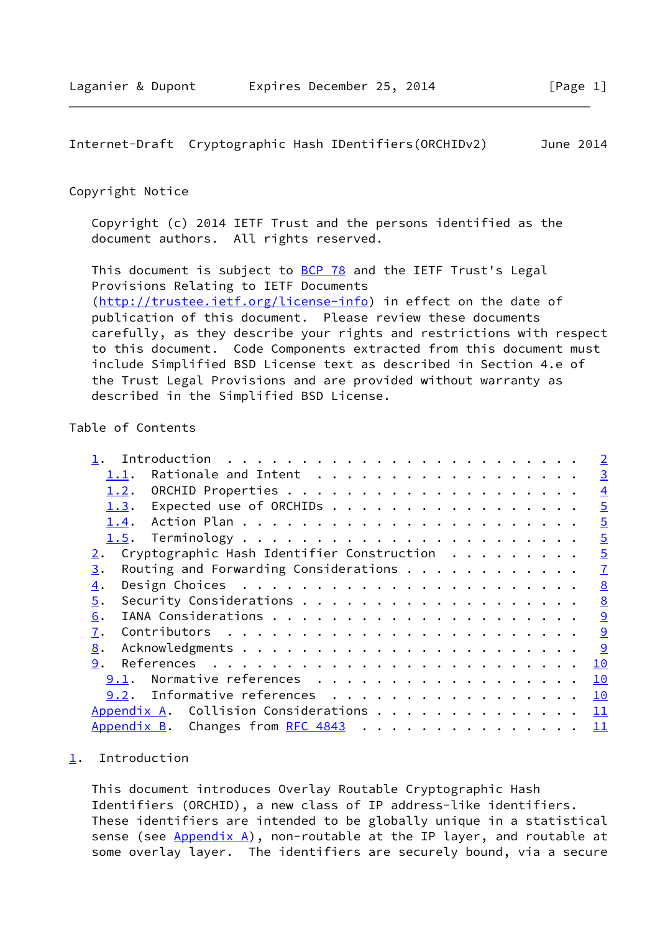<span id="page-1-1"></span>Internet-Draft Cryptographic Hash IDentifiers(ORCHIDv2) June 2014

## Copyright Notice

 Copyright (c) 2014 IETF Trust and the persons identified as the document authors. All rights reserved.

This document is subject to **[BCP 78](https://datatracker.ietf.org/doc/pdf/bcp78)** and the IETF Trust's Legal Provisions Relating to IETF Documents [\(http://trustee.ietf.org/license-info](http://trustee.ietf.org/license-info)) in effect on the date of publication of this document. Please review these documents carefully, as they describe your rights and restrictions with respect to this document. Code Components extracted from this document must include Simplified BSD License text as described in Section 4.e of the Trust Legal Provisions and are provided without warranty as described in the Simplified BSD License.

# Table of Contents

|                                                                | $\overline{2}$ |
|----------------------------------------------------------------|----------------|
| Rationale and Intent<br>1.1.                                   | $\overline{3}$ |
| 1.2.                                                           | $\overline{4}$ |
| Expected use of ORCHIDs<br>1.3.                                | $\overline{5}$ |
| 1.4.                                                           | $\overline{5}$ |
|                                                                | $\overline{5}$ |
| Cryptographic Hash Identifier Construction<br>$\overline{2}$ . | $\overline{5}$ |
| Routing and Forwarding Considerations $\cdots$<br>3.           | $\overline{1}$ |
| $\overline{4}$ .                                               | 8              |
| 5.                                                             | 8              |
| 6.                                                             | 9              |
| 7.                                                             | 9              |
| 8.                                                             | 9              |
| 9.                                                             | 10             |
| Normative references<br>9.1.                                   | 10             |
| 9.2. Informative references                                    | 10             |
| Appendix A. Collision Considerations                           | 11             |
| Appendix B. Changes from RFC 4843                              | 11             |
|                                                                |                |

### <span id="page-1-0"></span>[1](#page-1-0). Introduction

 This document introduces Overlay Routable Cryptographic Hash Identifiers (ORCHID), a new class of IP address-like identifiers. These identifiers are intended to be globally unique in a statistical sense (see  $Appendix A)$ , non-routable at the IP layer, and routable at some overlay layer. The identifiers are securely bound, via a secure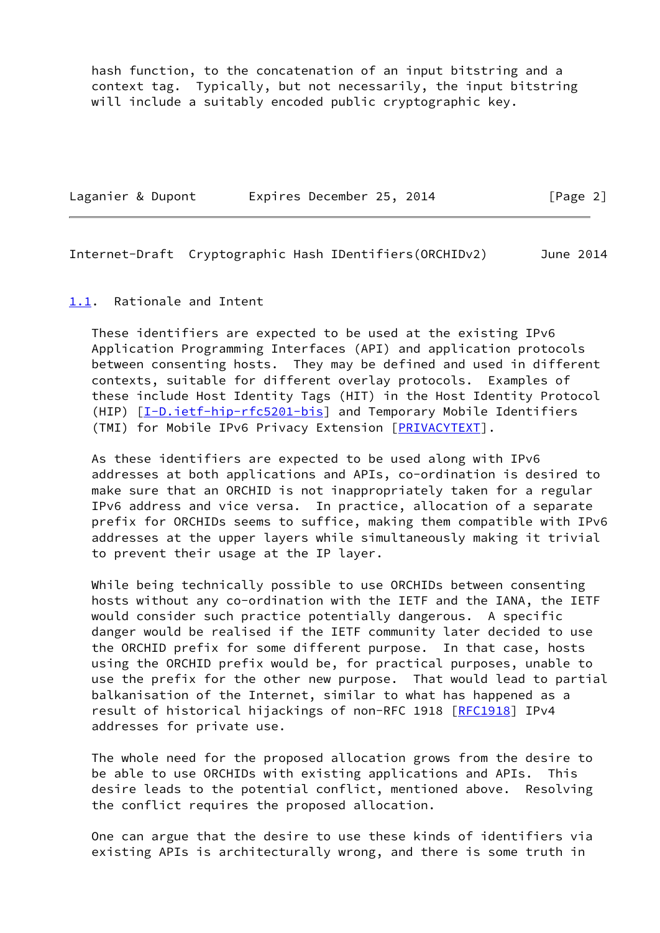hash function, to the concatenation of an input bitstring and a context tag. Typically, but not necessarily, the input bitstring will include a suitably encoded public cryptographic key.

| Laganier & Dupont |  | Expires December 25, 2014 |  | [Page 2] |  |
|-------------------|--|---------------------------|--|----------|--|
|                   |  |                           |  |          |  |

<span id="page-2-1"></span>Internet-Draft Cryptographic Hash IDentifiers(ORCHIDv2) June 2014

### <span id="page-2-0"></span>[1.1](#page-2-0). Rationale and Intent

 These identifiers are expected to be used at the existing IPv6 Application Programming Interfaces (API) and application protocols between consenting hosts. They may be defined and used in different contexts, suitable for different overlay protocols. Examples of these include Host Identity Tags (HIT) in the Host Identity Protocol (HIP) [[I-D.ietf-hip-rfc5201-bis\]](#page-10-4) and Temporary Mobile Identifiers (TMI) for Mobile IPv6 Privacy Extension [\[PRIVACYTEXT](#page-10-5)].

 As these identifiers are expected to be used along with IPv6 addresses at both applications and APIs, co-ordination is desired to make sure that an ORCHID is not inappropriately taken for a regular IPv6 address and vice versa. In practice, allocation of a separate prefix for ORCHIDs seems to suffice, making them compatible with IPv6 addresses at the upper layers while simultaneously making it trivial to prevent their usage at the IP layer.

 While being technically possible to use ORCHIDs between consenting hosts without any co-ordination with the IETF and the IANA, the IETF would consider such practice potentially dangerous. A specific danger would be realised if the IETF community later decided to use the ORCHID prefix for some different purpose. In that case, hosts using the ORCHID prefix would be, for practical purposes, unable to use the prefix for the other new purpose. That would lead to partial balkanisation of the Internet, similar to what has happened as a result of historical hijackings of non-RFC 1918 [\[RFC1918](https://datatracker.ietf.org/doc/pdf/rfc1918)] IPv4 addresses for private use.

 The whole need for the proposed allocation grows from the desire to be able to use ORCHIDs with existing applications and APIs. This desire leads to the potential conflict, mentioned above. Resolving the conflict requires the proposed allocation.

 One can argue that the desire to use these kinds of identifiers via existing APIs is architecturally wrong, and there is some truth in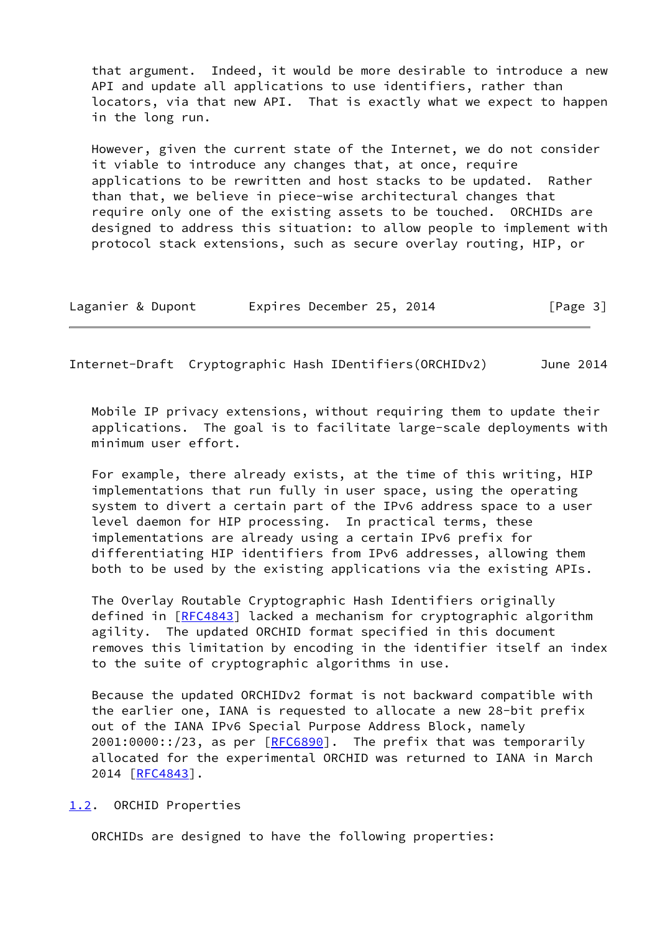that argument. Indeed, it would be more desirable to introduce a new API and update all applications to use identifiers, rather than locators, via that new API. That is exactly what we expect to happen in the long run.

 However, given the current state of the Internet, we do not consider it viable to introduce any changes that, at once, require applications to be rewritten and host stacks to be updated. Rather than that, we believe in piece-wise architectural changes that require only one of the existing assets to be touched. ORCHIDs are designed to address this situation: to allow people to implement with protocol stack extensions, such as secure overlay routing, HIP, or

| Laganier & Dupont | Expires December 25, 2014 | [Page 3] |
|-------------------|---------------------------|----------|
|-------------------|---------------------------|----------|

<span id="page-3-1"></span>Internet-Draft Cryptographic Hash IDentifiers(ORCHIDv2) June 2014

 Mobile IP privacy extensions, without requiring them to update their applications. The goal is to facilitate large-scale deployments with minimum user effort.

 For example, there already exists, at the time of this writing, HIP implementations that run fully in user space, using the operating system to divert a certain part of the IPv6 address space to a user level daemon for HIP processing. In practical terms, these implementations are already using a certain IPv6 prefix for differentiating HIP identifiers from IPv6 addresses, allowing them both to be used by the existing applications via the existing APIs.

 The Overlay Routable Cryptographic Hash Identifiers originally defined in [[RFC4843\]](https://datatracker.ietf.org/doc/pdf/rfc4843) lacked a mechanism for cryptographic algorithm agility. The updated ORCHID format specified in this document removes this limitation by encoding in the identifier itself an index to the suite of cryptographic algorithms in use.

 Because the updated ORCHIDv2 format is not backward compatible with the earlier one, IANA is requested to allocate a new 28-bit prefix out of the IANA IPv6 Special Purpose Address Block, namely 2001:0000::/23, as per [\[RFC6890](https://datatracker.ietf.org/doc/pdf/rfc6890)]. The prefix that was temporarily allocated for the experimental ORCHID was returned to IANA in March 2014 [\[RFC4843](https://datatracker.ietf.org/doc/pdf/rfc4843)].

<span id="page-3-0"></span>[1.2](#page-3-0). ORCHID Properties

ORCHIDs are designed to have the following properties: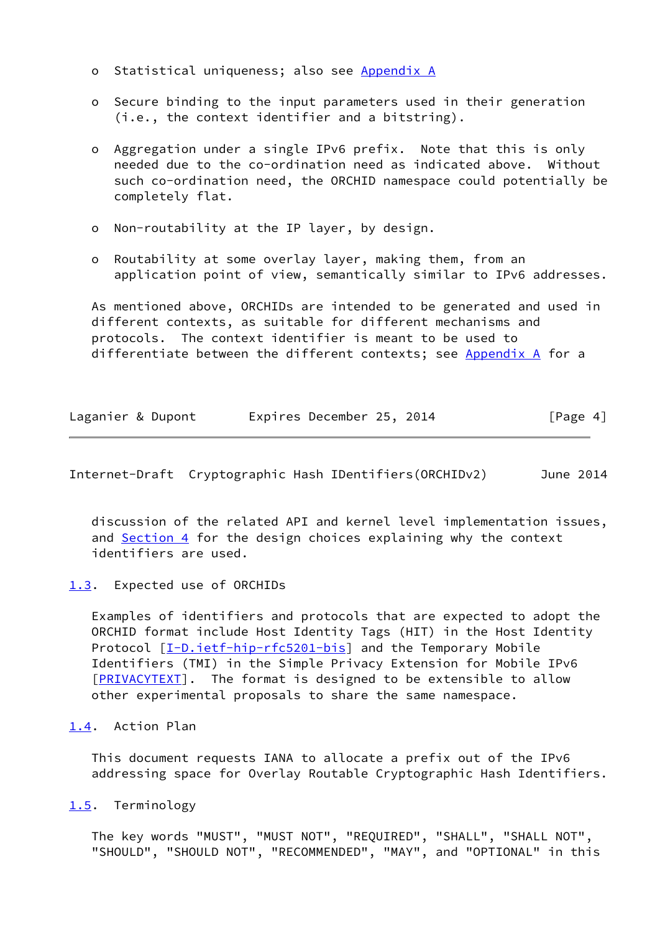- o Statistical uniqueness; also see [Appendix A](#page-11-0)
- o Secure binding to the input parameters used in their generation (i.e., the context identifier and a bitstring).
- o Aggregation under a single IPv6 prefix. Note that this is only needed due to the co-ordination need as indicated above. Without such co-ordination need, the ORCHID namespace could potentially be completely flat.
- o Non-routability at the IP layer, by design.
- o Routability at some overlay layer, making them, from an application point of view, semantically similar to IPv6 addresses.

 As mentioned above, ORCHIDs are intended to be generated and used in different contexts, as suitable for different mechanisms and protocols. The context identifier is meant to be used to differentiate between the different contexts; see [Appendix A](#page-11-0) for a

| Laganier & Dupont | Expires December 25, 2014 | [Page 4] |  |
|-------------------|---------------------------|----------|--|
|-------------------|---------------------------|----------|--|

<span id="page-4-1"></span>Internet-Draft Cryptographic Hash IDentifiers(ORCHIDv2) June 2014

 discussion of the related API and kernel level implementation issues, and [Section 4](#page-7-1) for the design choices explaining why the context identifiers are used.

<span id="page-4-0"></span>[1.3](#page-4-0). Expected use of ORCHIDs

 Examples of identifiers and protocols that are expected to adopt the ORCHID format include Host Identity Tags (HIT) in the Host Identity Protocol [\[I-D.ietf-hip-rfc5201-bis](#page-10-4)] and the Temporary Mobile Identifiers (TMI) in the Simple Privacy Extension for Mobile IPv6 [\[PRIVACYTEXT](#page-10-5)]. The format is designed to be extensible to allow other experimental proposals to share the same namespace.

# <span id="page-4-2"></span>[1.4](#page-4-2). Action Plan

 This document requests IANA to allocate a prefix out of the IPv6 addressing space for Overlay Routable Cryptographic Hash Identifiers.

<span id="page-4-3"></span>[1.5](#page-4-3). Terminology

 The key words "MUST", "MUST NOT", "REQUIRED", "SHALL", "SHALL NOT", "SHOULD", "SHOULD NOT", "RECOMMENDED", "MAY", and "OPTIONAL" in this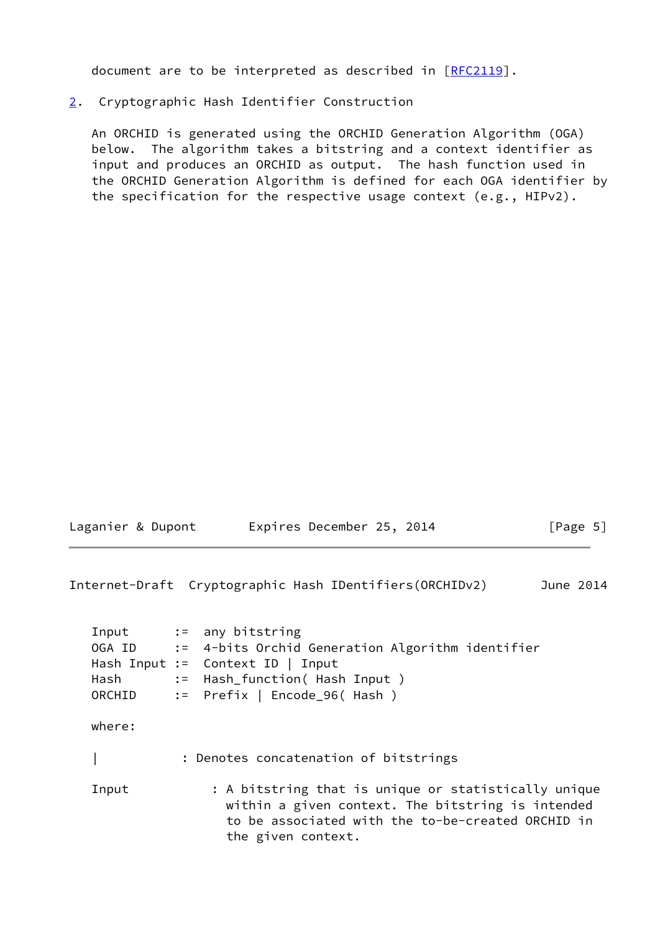document are to be interpreted as described in [\[RFC2119](https://datatracker.ietf.org/doc/pdf/rfc2119)].

# <span id="page-5-0"></span>[2](#page-5-0). Cryptographic Hash Identifier Construction

 An ORCHID is generated using the ORCHID Generation Algorithm (OGA) below. The algorithm takes a bitstring and a context identifier as input and produces an ORCHID as output. The hash function used in the ORCHID Generation Algorithm is defined for each OGA identifier by the specification for the respective usage context (e.g., HIPv2).

| Laganier & Dupont |  | Expires December 25, 2014 |  | [Page 5] |
|-------------------|--|---------------------------|--|----------|
|                   |  |                           |  |          |

Internet-Draft Cryptographic Hash IDentifiers(ORCHIDv2) June 2014

| Hash   | Input := any bitstring<br>OGA ID := 4-bits Orchid Generation Algorithm identifier<br>Hash Input := Context ID   Input<br>:= Hash_function( Hash Input)<br>ORCHID := Prefix   Encode_96( Hash ) |
|--------|------------------------------------------------------------------------------------------------------------------------------------------------------------------------------------------------|
| where: |                                                                                                                                                                                                |
|        | : Denotes concatenation of bitstrings                                                                                                                                                          |
| Input  | : A bitstring that is unique or statistically unique<br>within a given context. The bitstring is intended<br>to be associated with the to-be-created ORCHID in<br>the given context.           |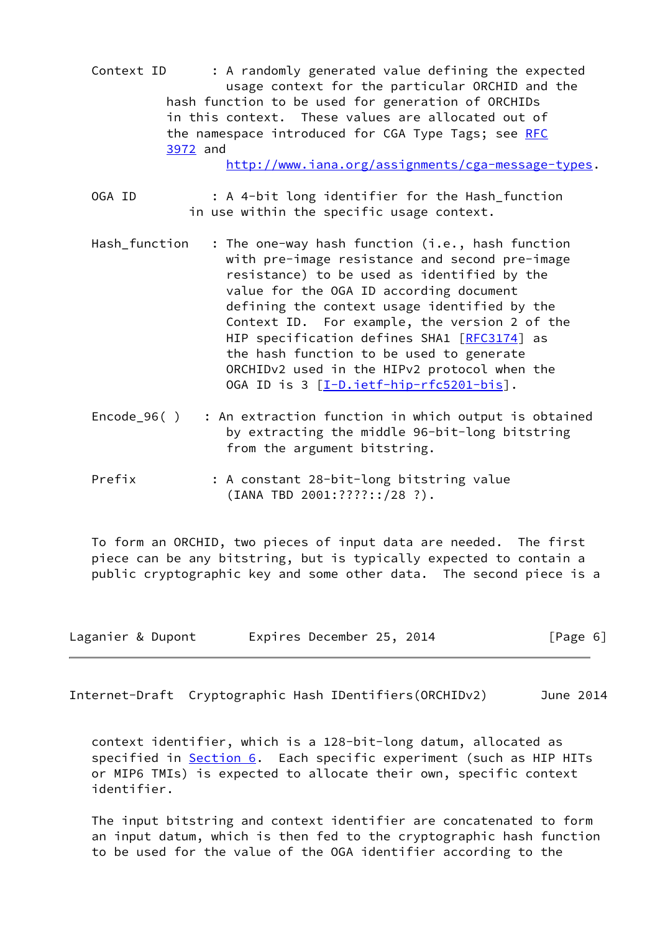Context ID : A randomly generated value defining the expected usage context for the particular ORCHID and the hash function to be used for generation of ORCHIDs in this context. These values are allocated out of the namespace introduced for CGA Type Tags; see [RFC](https://datatracker.ietf.org/doc/pdf/rfc3972) [3972](https://datatracker.ietf.org/doc/pdf/rfc3972) and

[http://www.iana.org/assignments/cga-message-types.](http://www.iana.org/assignments/cga-message-types)

- OGA ID : A 4-bit long identifier for the Hash\_function in use within the specific usage context.
- Hash\_function : The one-way hash function (i.e., hash function with pre-image resistance and second pre-image resistance) to be used as identified by the value for the OGA ID according document defining the context usage identified by the Context ID. For example, the version 2 of the HIP specification defines SHA1 [\[RFC3174](https://datatracker.ietf.org/doc/pdf/rfc3174)] as the hash function to be used to generate ORCHIDv2 used in the HIPv2 protocol when the OGA ID is 3 [[I-D.ietf-hip-rfc5201-bis\]](#page-10-4).
- Encode  $96()$  : An extraction function in which output is obtained by extracting the middle 96-bit-long bitstring from the argument bitstring.
- Prefix : A constant 28-bit-long bitstring value (IANA TBD 2001:????::/28 ?).

 To form an ORCHID, two pieces of input data are needed. The first piece can be any bitstring, but is typically expected to contain a public cryptographic key and some other data. The second piece is a

| Laganier & Dupont | Expires December 25, 2014 | [Page 6] |
|-------------------|---------------------------|----------|
|-------------------|---------------------------|----------|

<span id="page-6-0"></span>Internet-Draft Cryptographic Hash IDentifiers(ORCHIDv2) June 2014

 context identifier, which is a 128-bit-long datum, allocated as specified in [Section 6](#page-9-0). Each specific experiment (such as HIP HITs or MIP6 TMIs) is expected to allocate their own, specific context identifier.

 The input bitstring and context identifier are concatenated to form an input datum, which is then fed to the cryptographic hash function to be used for the value of the OGA identifier according to the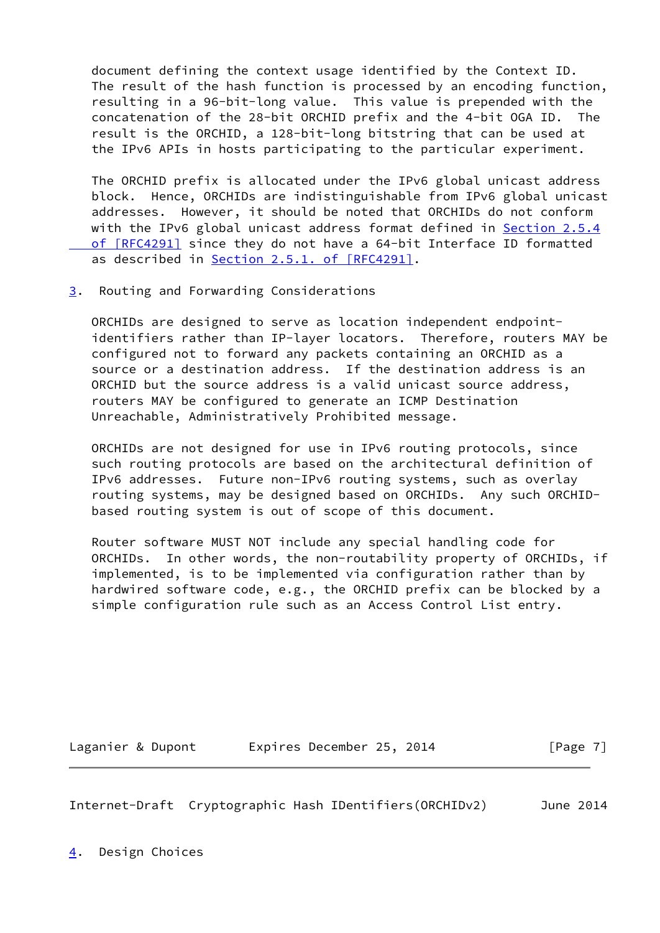document defining the context usage identified by the Context ID. The result of the hash function is processed by an encoding function, resulting in a 96-bit-long value. This value is prepended with the concatenation of the 28-bit ORCHID prefix and the 4-bit OGA ID. The result is the ORCHID, a 128-bit-long bitstring that can be used at the IPv6 APIs in hosts participating to the particular experiment.

 The ORCHID prefix is allocated under the IPv6 global unicast address block. Hence, ORCHIDs are indistinguishable from IPv6 global unicast addresses. However, it should be noted that ORCHIDs do not conform with the IPv6 global unicast address format defined in [Section](https://datatracker.ietf.org/doc/pdf/rfc4291#section-2.5.4) 2.5.4 of [RFC4291] since they do not have a 64-bit Interface ID formatted as described in Section [2.5.1. of \[RFC4291\]](https://datatracker.ietf.org/doc/pdf/rfc4291#section-2.5.1).

<span id="page-7-0"></span>[3](#page-7-0). Routing and Forwarding Considerations

 ORCHIDs are designed to serve as location independent endpoint identifiers rather than IP-layer locators. Therefore, routers MAY be configured not to forward any packets containing an ORCHID as a source or a destination address. If the destination address is an ORCHID but the source address is a valid unicast source address, routers MAY be configured to generate an ICMP Destination Unreachable, Administratively Prohibited message.

 ORCHIDs are not designed for use in IPv6 routing protocols, since such routing protocols are based on the architectural definition of IPv6 addresses. Future non-IPv6 routing systems, such as overlay routing systems, may be designed based on ORCHIDs. Any such ORCHID based routing system is out of scope of this document.

 Router software MUST NOT include any special handling code for ORCHIDs. In other words, the non-routability property of ORCHIDs, if implemented, is to be implemented via configuration rather than by hardwired software code, e.g., the ORCHID prefix can be blocked by a simple configuration rule such as an Access Control List entry.

Laganier & Dupont Expires December 25, 2014 [Page 7]

<span id="page-7-2"></span>Internet-Draft Cryptographic Hash IDentifiers(ORCHIDv2) June 2014

<span id="page-7-1"></span>[4](#page-7-1). Design Choices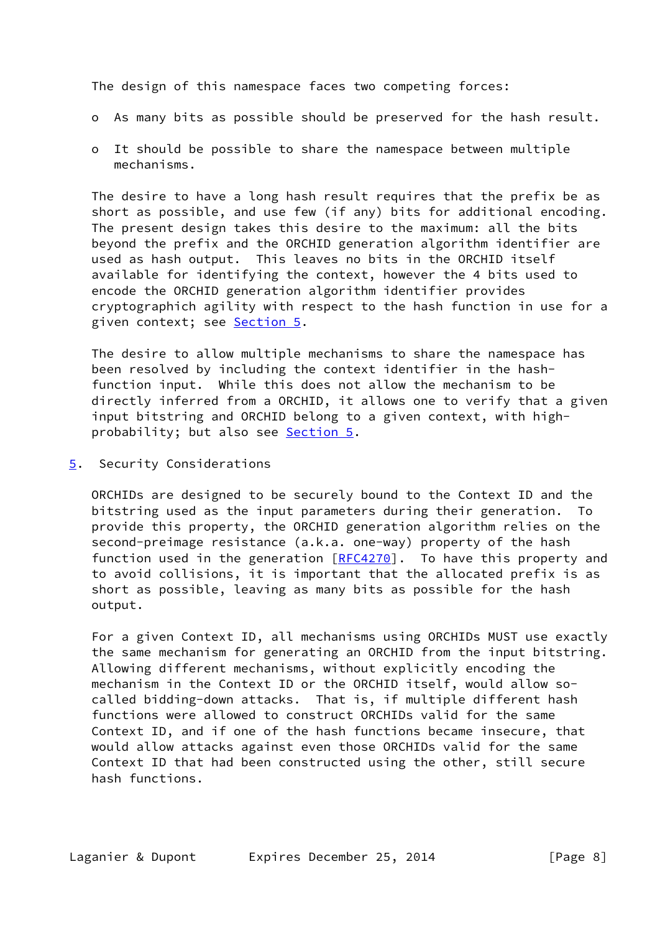The design of this namespace faces two competing forces:

- o As many bits as possible should be preserved for the hash result.
- o It should be possible to share the namespace between multiple mechanisms.

 The desire to have a long hash result requires that the prefix be as short as possible, and use few (if any) bits for additional encoding. The present design takes this desire to the maximum: all the bits beyond the prefix and the ORCHID generation algorithm identifier are used as hash output. This leaves no bits in the ORCHID itself available for identifying the context, however the 4 bits used to encode the ORCHID generation algorithm identifier provides cryptographich agility with respect to the hash function in use for a given context; see **Section 5**.

 The desire to allow multiple mechanisms to share the namespace has been resolved by including the context identifier in the hash function input. While this does not allow the mechanism to be directly inferred from a ORCHID, it allows one to verify that a given input bitstring and ORCHID belong to a given context, with high- probability; but also see [Section 5.](#page-8-0)

<span id="page-8-0"></span>[5](#page-8-0). Security Considerations

 ORCHIDs are designed to be securely bound to the Context ID and the bitstring used as the input parameters during their generation. To provide this property, the ORCHID generation algorithm relies on the second-preimage resistance (a.k.a. one-way) property of the hash function used in the generation  $[REC4270]$ . To have this property and to avoid collisions, it is important that the allocated prefix is as short as possible, leaving as many bits as possible for the hash output.

 For a given Context ID, all mechanisms using ORCHIDs MUST use exactly the same mechanism for generating an ORCHID from the input bitstring. Allowing different mechanisms, without explicitly encoding the mechanism in the Context ID or the ORCHID itself, would allow so called bidding-down attacks. That is, if multiple different hash functions were allowed to construct ORCHIDs valid for the same Context ID, and if one of the hash functions became insecure, that would allow attacks against even those ORCHIDs valid for the same Context ID that had been constructed using the other, still secure hash functions.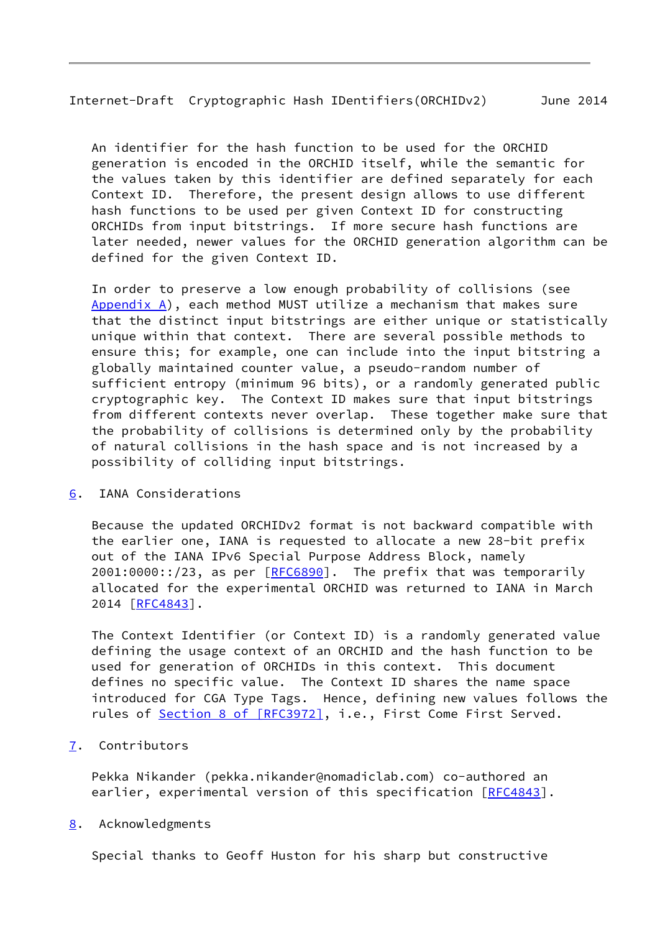<span id="page-9-1"></span>Internet-Draft Cryptographic Hash IDentifiers(ORCHIDv2) June 2014

 An identifier for the hash function to be used for the ORCHID generation is encoded in the ORCHID itself, while the semantic for the values taken by this identifier are defined separately for each Context ID. Therefore, the present design allows to use different hash functions to be used per given Context ID for constructing ORCHIDs from input bitstrings. If more secure hash functions are later needed, newer values for the ORCHID generation algorithm can be defined for the given Context ID.

 In order to preserve a low enough probability of collisions (see Appendix  $A$ ), each method MUST utilize a mechanism that makes sure that the distinct input bitstrings are either unique or statistically unique within that context. There are several possible methods to ensure this; for example, one can include into the input bitstring a globally maintained counter value, a pseudo-random number of sufficient entropy (minimum 96 bits), or a randomly generated public cryptographic key. The Context ID makes sure that input bitstrings from different contexts never overlap. These together make sure that the probability of collisions is determined only by the probability of natural collisions in the hash space and is not increased by a possibility of colliding input bitstrings.

<span id="page-9-0"></span>[6](#page-9-0). IANA Considerations

 Because the updated ORCHIDv2 format is not backward compatible with the earlier one, IANA is requested to allocate a new 28-bit prefix out of the IANA IPv6 Special Purpose Address Block, namely  $2001:0000::/23$ , as per  $[REC6890]$ . The prefix that was temporarily allocated for the experimental ORCHID was returned to IANA in March 2014 [\[RFC4843](https://datatracker.ietf.org/doc/pdf/rfc4843)].

 The Context Identifier (or Context ID) is a randomly generated value defining the usage context of an ORCHID and the hash function to be used for generation of ORCHIDs in this context. This document defines no specific value. The Context ID shares the name space introduced for CGA Type Tags. Hence, defining new values follows the rules of Section [8 of \[RFC3972\]](https://datatracker.ietf.org/doc/pdf/rfc3972#section-8), i.e., First Come First Served.

<span id="page-9-2"></span>[7](#page-9-2). Contributors

 Pekka Nikander (pekka.nikander@nomadiclab.com) co-authored an earlier, experimental version of this specification [\[RFC4843](https://datatracker.ietf.org/doc/pdf/rfc4843)].

<span id="page-9-3"></span>[8](#page-9-3). Acknowledgments

Special thanks to Geoff Huston for his sharp but constructive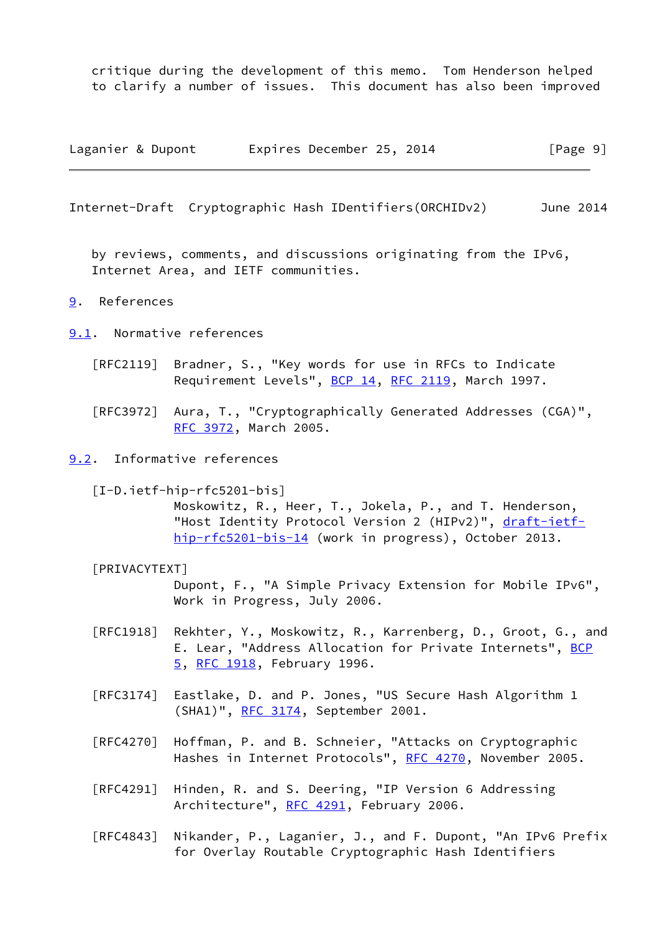critique during the development of this memo. Tom Henderson helped to clarify a number of issues. This document has also been improved

Laganier & Dupont Expires December 25, 2014 [Page 9]

<span id="page-10-1"></span>Internet-Draft Cryptographic Hash IDentifiers(ORCHIDv2) June 2014

 by reviews, comments, and discussions originating from the IPv6, Internet Area, and IETF communities.

### <span id="page-10-0"></span>[9](#page-10-0). References

- <span id="page-10-2"></span>[9.1](#page-10-2). Normative references
	- [RFC2119] Bradner, S., "Key words for use in RFCs to Indicate Requirement Levels", [BCP 14](https://datatracker.ietf.org/doc/pdf/bcp14), [RFC 2119](https://datatracker.ietf.org/doc/pdf/rfc2119), March 1997.
	- [RFC3972] Aura, T., "Cryptographically Generated Addresses (CGA)", [RFC 3972,](https://datatracker.ietf.org/doc/pdf/rfc3972) March 2005.

#### <span id="page-10-3"></span>[9.2](#page-10-3). Informative references

<span id="page-10-4"></span>[I-D.ietf-hip-rfc5201-bis]

 Moskowitz, R., Heer, T., Jokela, P., and T. Henderson, "Host Identity Protocol Version 2 (HIPv2)", [draft-ietf](https://datatracker.ietf.org/doc/pdf/draft-ietf-hip-rfc5201-bis-14) [hip-rfc5201-bis-14](https://datatracker.ietf.org/doc/pdf/draft-ietf-hip-rfc5201-bis-14) (work in progress), October 2013.

## <span id="page-10-5"></span>[PRIVACYTEXT]

 Dupont, F., "A Simple Privacy Extension for Mobile IPv6", Work in Progress, July 2006.

- [RFC1918] Rekhter, Y., Moskowitz, R., Karrenberg, D., Groot, G., and E. Lear, "Address Allocation for Private Internets", [BCP](https://datatracker.ietf.org/doc/pdf/bcp5) [5,](https://datatracker.ietf.org/doc/pdf/bcp5) [RFC 1918](https://datatracker.ietf.org/doc/pdf/rfc1918), February 1996.
- [RFC3174] Eastlake, D. and P. Jones, "US Secure Hash Algorithm 1 (SHA1)", [RFC 3174,](https://datatracker.ietf.org/doc/pdf/rfc3174) September 2001.
- [RFC4270] Hoffman, P. and B. Schneier, "Attacks on Cryptographic Hashes in Internet Protocols", [RFC 4270](https://datatracker.ietf.org/doc/pdf/rfc4270), November 2005.
- [RFC4291] Hinden, R. and S. Deering, "IP Version 6 Addressing Architecture", [RFC 4291](https://datatracker.ietf.org/doc/pdf/rfc4291), February 2006.
- [RFC4843] Nikander, P., Laganier, J., and F. Dupont, "An IPv6 Prefix for Overlay Routable Cryptographic Hash Identifiers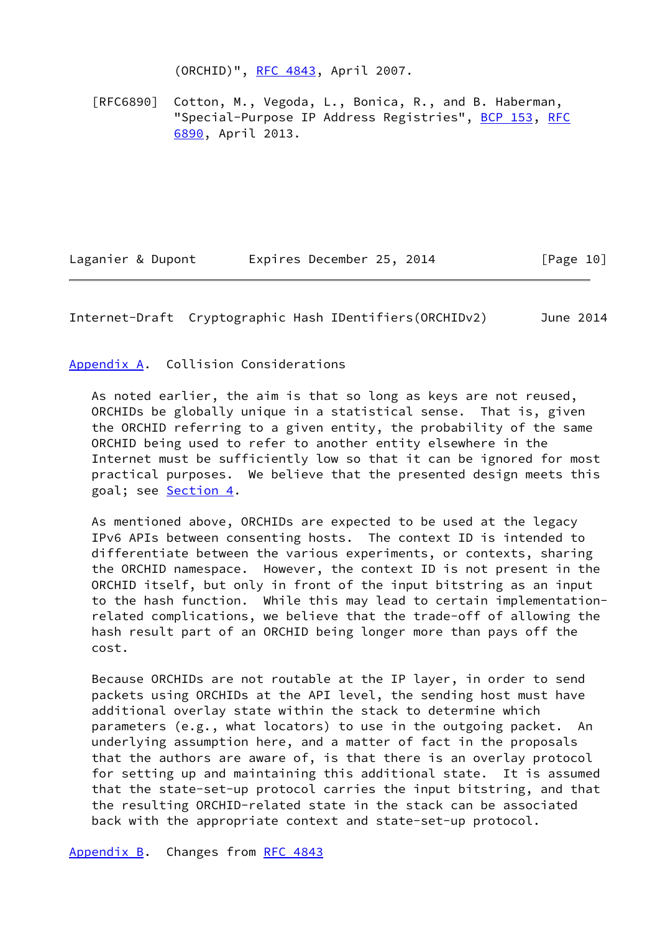(ORCHID)", [RFC 4843](https://datatracker.ietf.org/doc/pdf/rfc4843), April 2007.

 [RFC6890] Cotton, M., Vegoda, L., Bonica, R., and B. Haberman, "Special-Purpose IP Address Registries", [BCP 153,](https://datatracker.ietf.org/doc/pdf/bcp153) [RFC](https://datatracker.ietf.org/doc/pdf/rfc6890) [6890,](https://datatracker.ietf.org/doc/pdf/rfc6890) April 2013.

Laganier & Dupont Expires December 25, 2014 [Page 10]

<span id="page-11-1"></span>Internet-Draft Cryptographic Hash IDentifiers(ORCHIDv2) June 2014

<span id="page-11-0"></span>[Appendix A.](#page-11-0) Collision Considerations

 As noted earlier, the aim is that so long as keys are not reused, ORCHIDs be globally unique in a statistical sense. That is, given the ORCHID referring to a given entity, the probability of the same ORCHID being used to refer to another entity elsewhere in the Internet must be sufficiently low so that it can be ignored for most practical purposes. We believe that the presented design meets this goal; see [Section 4.](#page-7-1)

 As mentioned above, ORCHIDs are expected to be used at the legacy IPv6 APIs between consenting hosts. The context ID is intended to differentiate between the various experiments, or contexts, sharing the ORCHID namespace. However, the context ID is not present in the ORCHID itself, but only in front of the input bitstring as an input to the hash function. While this may lead to certain implementation related complications, we believe that the trade-off of allowing the hash result part of an ORCHID being longer more than pays off the cost.

 Because ORCHIDs are not routable at the IP layer, in order to send packets using ORCHIDs at the API level, the sending host must have additional overlay state within the stack to determine which parameters (e.g., what locators) to use in the outgoing packet. An underlying assumption here, and a matter of fact in the proposals that the authors are aware of, is that there is an overlay protocol for setting up and maintaining this additional state. It is assumed that the state-set-up protocol carries the input bitstring, and that the resulting ORCHID-related state in the stack can be associated back with the appropriate context and state-set-up protocol.

<span id="page-11-2"></span>[Appendix B.](#page-11-2) Changes from [RFC 4843](https://datatracker.ietf.org/doc/pdf/rfc4843)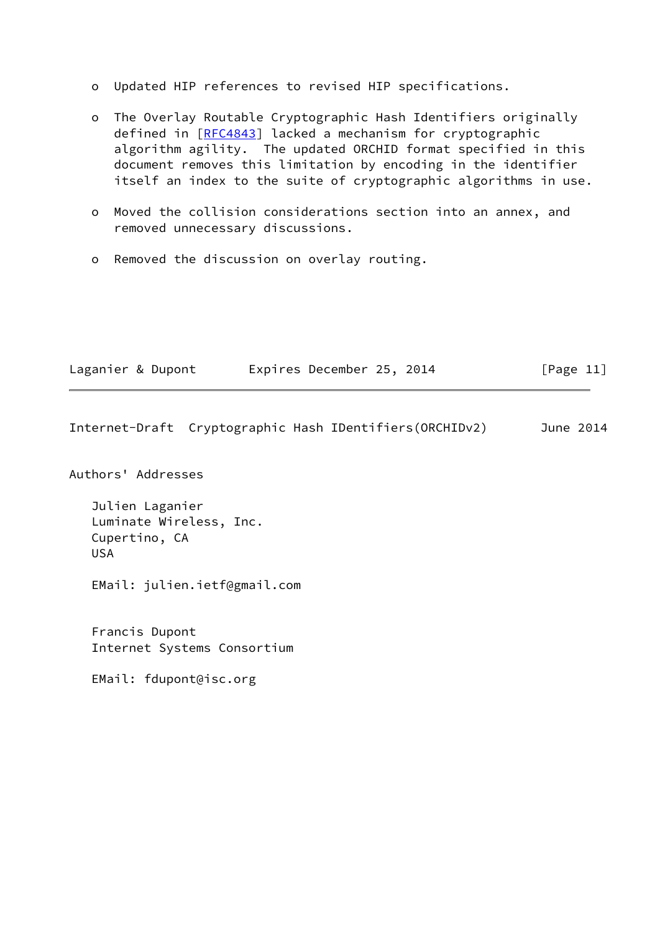- o Updated HIP references to revised HIP specifications.
- o The Overlay Routable Cryptographic Hash Identifiers originally defined in [[RFC4843](https://datatracker.ietf.org/doc/pdf/rfc4843)] lacked a mechanism for cryptographic algorithm agility. The updated ORCHID format specified in this document removes this limitation by encoding in the identifier itself an index to the suite of cryptographic algorithms in use.
- o Moved the collision considerations section into an annex, and removed unnecessary discussions.
- o Removed the discussion on overlay routing.

| Laganier & Dupont | Expires December 25, 2014 |  | [Page 11] |
|-------------------|---------------------------|--|-----------|
|-------------------|---------------------------|--|-----------|

Internet-Draft Cryptographic Hash IDentifiers(ORCHIDv2) June 2014

Authors' Addresses

 Julien Laganier Luminate Wireless, Inc. Cupertino, CA USA

EMail: julien.ietf@gmail.com

 Francis Dupont Internet Systems Consortium

EMail: fdupont@isc.org